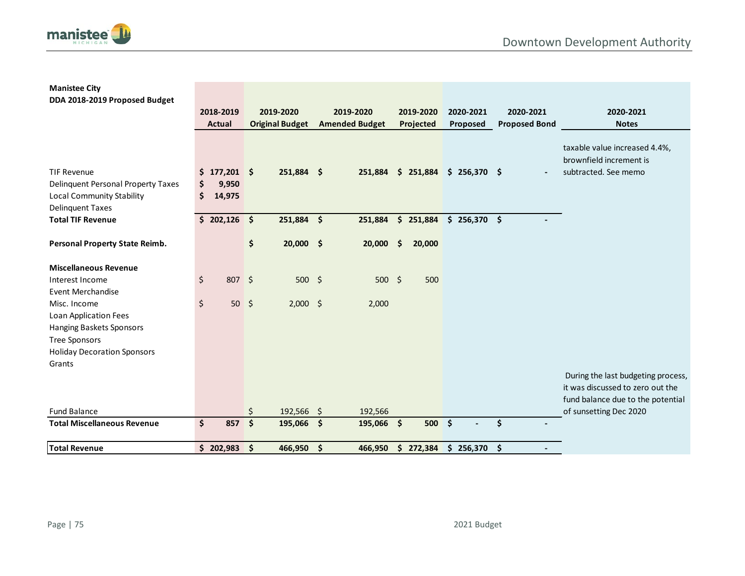

## **Manistee City DDA 2018-2019 Proposed Budget**

|                                                                                                           | 2018-2019<br><b>Actual</b>             |          | 2019-2020<br><b>Original Budget</b> | 2019-2020<br><b>Amended Budget</b> |                     | 2019-2020<br>Projected           | 2020-2021<br>Proposed | 2020-2021<br><b>Proposed Bond</b> | 2020-2021<br><b>Notes</b>                                                                                   |
|-----------------------------------------------------------------------------------------------------------|----------------------------------------|----------|-------------------------------------|------------------------------------|---------------------|----------------------------------|-----------------------|-----------------------------------|-------------------------------------------------------------------------------------------------------------|
| <b>TIF Revenue</b><br>Delinquent Personal Property Taxes<br>Local Community Stability<br>Delinquent Taxes | \$<br>$$177,201$ \$<br>9,950<br>14,975 |          | 251,884 \$                          |                                    |                     | 251,884 \$ 251,884 \$ 256,370 \$ |                       |                                   | taxable value increased 4.4%,<br>brownfield increment is<br>subtracted. See memo                            |
| <b>Total TIF Revenue</b>                                                                                  | \$202,126                              |          | 251,884 \$                          | 251,884                            |                     | \$251,884                        | $$256,370$ \$         |                                   |                                                                                                             |
| Personal Property State Reimb.                                                                            |                                        | \$       | 20,000 \$                           | 20,000                             | $\ddot{\bm{\zeta}}$ | 20,000                           |                       |                                   |                                                                                                             |
| <b>Miscellaneous Revenue</b>                                                                              |                                        |          |                                     |                                    |                     |                                  |                       |                                   |                                                                                                             |
| Interest Income<br><b>Event Merchandise</b>                                                               | \$<br>807 \$                           |          | $500 \div$                          | $500 \div$                         |                     | 500                              |                       |                                   |                                                                                                             |
| Misc. Income                                                                                              | \$<br>$50 \div$                        |          | $2,000$ \$                          | 2,000                              |                     |                                  |                       |                                   |                                                                                                             |
| Loan Application Fees<br>Hanging Baskets Sponsors<br>Tree Sponsors<br><b>Holiday Decoration Sponsors</b>  |                                        |          |                                     |                                    |                     |                                  |                       |                                   |                                                                                                             |
| Grants                                                                                                    |                                        |          |                                     |                                    |                     |                                  |                       |                                   | During the last budgeting process,<br>it was discussed to zero out the<br>fund balance due to the potential |
| <b>Fund Balance</b><br><b>Total Miscellaneous Revenue</b>                                                 | \$<br>857                              | \$<br>\$ | 192,566 \$<br>195,066 \$            | 192,566<br>195,066 \$              |                     | $500 \div$                       |                       | Ś                                 | of sunsetting Dec 2020                                                                                      |
| <b>Total Revenue</b>                                                                                      | \$202,983                              | \$       | 466,950 \$                          | 466,950                            |                     | \$272,384                        | $$256,370$ \$         |                                   |                                                                                                             |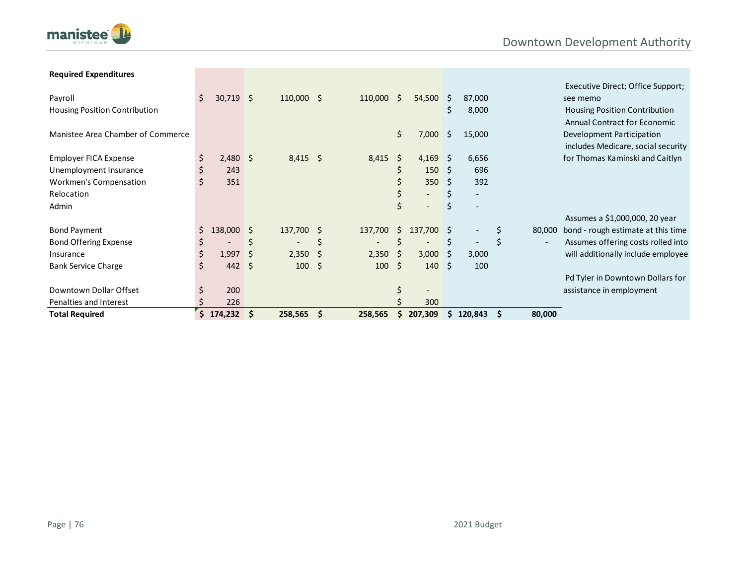



| <b>Required Expenditures</b>         |     |              |     |                          |          |                          |    |                          |    |           |          |        |                                      |
|--------------------------------------|-----|--------------|-----|--------------------------|----------|--------------------------|----|--------------------------|----|-----------|----------|--------|--------------------------------------|
|                                      |     |              |     |                          |          |                          |    |                          |    |           |          |        | Executive Direct; Office Support;    |
| Payroll                              | \$. | $30,719$ \$  |     | $110,000$ \$             |          | 110,000                  | Ŝ. | 54,500                   | S. | 87,000    |          |        | see memo                             |
| <b>Housing Position Contribution</b> |     |              |     |                          |          |                          |    |                          | \$ | 8,000     |          |        | <b>Housing Position Contribution</b> |
|                                      |     |              |     |                          |          |                          |    |                          |    |           |          |        | <b>Annual Contract for Economic</b>  |
| Manistee Area Chamber of Commerce    |     |              |     |                          |          |                          | \$ | 7,000                    | -Ś | 15,000    |          |        | Development Participation            |
|                                      |     |              |     |                          |          |                          |    |                          |    |           |          |        | includes Medicare, social security   |
| <b>Employer FICA Expense</b>         | Ş   | $2,480$ \$   |     | $8,415$ \$               |          | 8,415                    | \$ | 4,169                    | -S | 6,656     |          |        | for Thomas Kaminski and Caitlyn      |
| Unemployment Insurance               | \$  | 243          |     |                          |          |                          | \$ | $150 \pm 5$              |    | 696       |          |        |                                      |
| Workmen's Compensation               | Ś.  | 351          |     |                          |          |                          | \$ | 350                      | Ŝ. | 392       |          |        |                                      |
| Relocation                           |     |              |     |                          |          |                          | \$ | $\overline{\phantom{0}}$ |    |           |          |        |                                      |
| Admin                                |     |              |     |                          |          |                          | \$ |                          | \$ |           |          |        |                                      |
|                                      |     |              |     |                          |          |                          |    |                          |    |           |          |        | Assumes a \$1,000,000, 20 year       |
| <b>Bond Payment</b>                  | Ś.  | $138,000$ \$ |     | 137,700 \$               |          | 137,700                  | Ŝ. | 137,700 \$               |    |           | \$       | 80,000 | bond - rough estimate at this time   |
| <b>Bond Offering Expense</b>         | \$  |              | S   | $\overline{\phantom{a}}$ | \$       | $\overline{\phantom{a}}$ | Ś  |                          | \$ |           | \$       |        | Assumes offering costs rolled into   |
| Insurance                            | \$  | 1,997        | -S  | 2,350                    | - S      | 2,350                    | \$ | 3,000                    | -S | 3,000     |          |        | will additionally include employee   |
| <b>Bank Service Charge</b>           | \$. | $442 \div$   |     | 100                      | - \$     | 100                      | Ŝ. | $140 \pm 5$              |    | 100       |          |        |                                      |
|                                      |     |              |     |                          |          |                          |    |                          |    |           |          |        | Pd Tyler in Downtown Dollars for     |
| Downtown Dollar Offset               | \$  | 200          |     |                          |          |                          | \$ |                          |    |           |          |        | assistance in employment             |
| Penalties and Interest               |     | 226          |     |                          |          |                          |    | 300                      |    |           |          |        |                                      |
| <b>Total Required</b>                | \$  | 174,232      | ∣\$ | 258,565                  | <b>S</b> | 258,565                  | S. | 207,309                  |    | \$120,843 | <b>S</b> | 80,000 |                                      |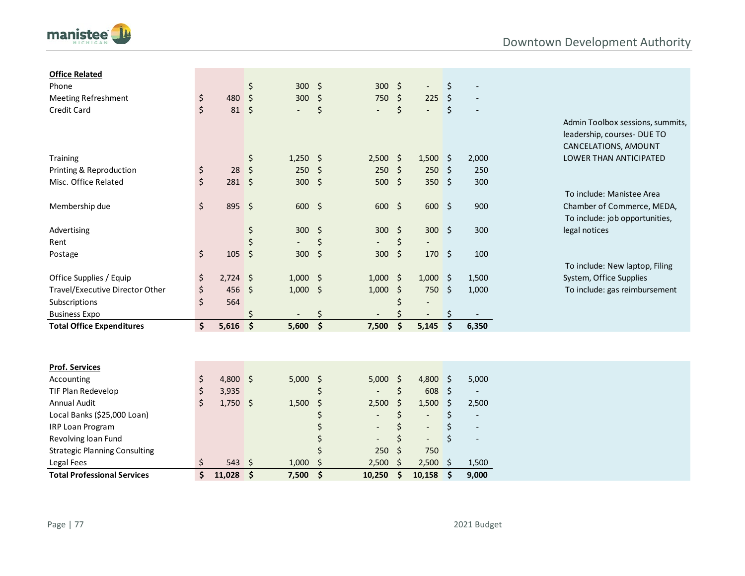

| <b>Office Related</b>                |         |               |                         |            |                    |                          |                    |                           |                    |                          |                                  |
|--------------------------------------|---------|---------------|-------------------------|------------|--------------------|--------------------------|--------------------|---------------------------|--------------------|--------------------------|----------------------------------|
| Phone                                |         |               | \$                      | 300 \$     |                    | 300                      | $\ddot{\varsigma}$ | $\overline{\phantom{a}}$  | \$                 |                          |                                  |
| <b>Meeting Refreshment</b>           | \$      | 480           | \$                      | 300        | $\zeta$            | 750                      | \$                 | 225                       | \$                 |                          |                                  |
| Credit Card                          | \$      | $81 \; \xi$   |                         |            | \$                 |                          | \$                 | $\mathbb{Z}^{\mathbb{Z}}$ | \$                 |                          |                                  |
|                                      |         |               |                         |            |                    |                          |                    |                           |                    |                          | Admin Toolbox sessions, summits, |
|                                      |         |               |                         |            |                    |                          |                    |                           |                    |                          | leadership, courses- DUE TO      |
|                                      |         |               |                         |            |                    |                          |                    |                           |                    |                          | CANCELATIONS, AMOUNT             |
| Training                             |         |               | \$                      | $1,250$ \$ |                    | 2,500                    | - \$               | $1,500$ \$                |                    | 2,000                    | LOWER THAN ANTICIPATED           |
| Printing & Reproduction              | \$      | 28            | $\zeta$                 | 250        | $\ddot{\varsigma}$ | 250                      | $\zeta$            | 250                       | \$                 | 250                      |                                  |
| Misc. Office Related                 | \$      | $281 \quad $$ |                         | $300 \div$ |                    | 500                      | $\zeta$            | 350 \$                    |                    | 300                      |                                  |
|                                      |         |               |                         |            |                    |                          |                    |                           |                    |                          | To include: Manistee Area        |
| Membership due                       | \$      | 895 \$        |                         | 600 \$     |                    | 600                      | \$                 | $600 \div$                |                    | 900                      | Chamber of Commerce, MEDA,       |
|                                      |         |               |                         |            |                    |                          |                    |                           |                    |                          | To include: job opportunities,   |
| Advertising                          |         |               | \$                      | 300        | $\ddot{\varsigma}$ | 300                      | \$                 | $300 \div$                |                    | 300                      | legal notices                    |
| Rent                                 |         |               | \$                      |            | \$                 |                          | \$                 |                           |                    |                          |                                  |
| Postage                              | \$      | 105           | $\ddot{\mathsf{s}}$     | 300        | \$                 | 300                      | \$                 | $170 \; \text{S}$         |                    | 100                      |                                  |
|                                      |         |               |                         |            |                    |                          |                    |                           |                    |                          | To include: New laptop, Filing   |
| Office Supplies / Equip              | \$      | $2,724$ \$    |                         | $1,000$ \$ |                    | 1,000                    | \$                 | 1,000                     | $\ddot{\varsigma}$ | 1,500                    | System, Office Supplies          |
| Travel/Executive Director Other      | \$      | 456           | $\sqrt{5}$              | $1,000$ \$ |                    | 1,000                    | \$                 | 750                       | $\ddot{\varsigma}$ | 1,000                    | To include: gas reimbursement    |
| Subscriptions                        | \$      | 564           |                         |            |                    |                          | Ś                  |                           |                    |                          |                                  |
| <b>Business Expo</b>                 |         |               |                         |            | \$                 |                          | Ś                  |                           | \$                 |                          |                                  |
| <b>Total Office Expenditures</b>     | \$      | 5,616         | $\overline{\mathsf{s}}$ | 5,600      | $\mathsf{S}$       | 7,500                    | $\dot{\mathsf{s}}$ | 5,145                     | $\dot{\mathsf{s}}$ | 6,350                    |                                  |
|                                      |         |               |                         |            |                    |                          |                    |                           |                    |                          |                                  |
| <b>Prof. Services</b>                |         |               |                         |            |                    |                          |                    |                           |                    |                          |                                  |
| Accounting                           | \$      | 4,800 \$      |                         | $5,000$ \$ |                    | 5,000                    | $\ddot{\phi}$      | 4,800                     | $\ddot{\circ}$     | 5,000                    |                                  |
| TIF Plan Redevelop                   | \$      | 3,935         |                         |            | \$                 |                          | \$                 | 608                       | $\ddot{\varsigma}$ | $\overline{\phantom{a}}$ |                                  |
| Annual Audit                         | $\zeta$ | $1,750$ \$    |                         | 1,500      | \$                 | 2,500                    | \$                 | 1,500                     | \$                 | 2,500                    |                                  |
| Local Banks (\$25,000 Loan)          |         |               |                         |            |                    | $\overline{\phantom{a}}$ | \$                 | $\overline{\phantom{a}}$  | \$                 | $\overline{\phantom{a}}$ |                                  |
| IRP Loan Program                     |         |               |                         |            | Ś                  | $\overline{\phantom{a}}$ | \$                 | $\overline{\phantom{a}}$  | \$                 | $\overline{\phantom{a}}$ |                                  |
| Revolving loan Fund                  |         |               |                         |            |                    |                          | \$                 | $\overline{\phantom{0}}$  | \$                 | $\overline{a}$           |                                  |
| <b>Strategic Planning Consulting</b> |         |               |                         |            |                    | 250                      | \$                 | 750                       |                    |                          |                                  |
| Legal Fees                           | \$      | 543           | \$                      | 1,000      | Ś                  | 2,500                    | Ś                  | 2,500                     | \$                 | 1,500                    |                                  |
| <b>Total Professional Services</b>   | \$      | 11,028        | $\sqrt{5}$              | 7,500      | $\frac{1}{2}$      | 10,250                   | \$                 | 10,158                    | \$                 | 9,000                    |                                  |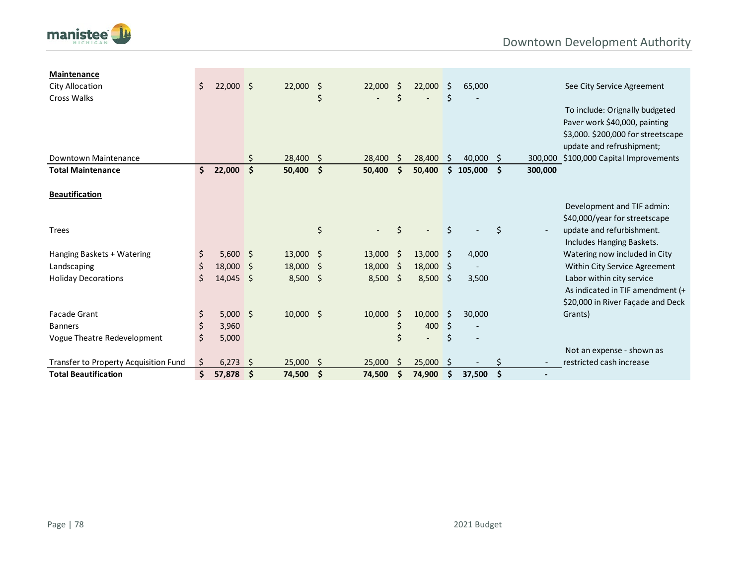

| Maintenance                           |     |             |      |             |      |        |     |                          |    |           |      |         |                                    |
|---------------------------------------|-----|-------------|------|-------------|------|--------|-----|--------------------------|----|-----------|------|---------|------------------------------------|
| City Allocation                       | \$  | $22,000$ \$ |      | 22,000      | \$   | 22,000 | Ŝ.  | 22,000                   | Ś. | 65,000    |      |         | See City Service Agreement         |
| <b>Cross Walks</b>                    |     |             |      |             | \$   |        | \$  |                          | \$ |           |      |         |                                    |
|                                       |     |             |      |             |      |        |     |                          |    |           |      |         | To include: Orignally budgeted     |
|                                       |     |             |      |             |      |        |     |                          |    |           |      |         | Paver work \$40,000, painting      |
|                                       |     |             |      |             |      |        |     |                          |    |           |      |         | \$3,000. \$200,000 for streetscape |
|                                       |     |             |      |             |      |        |     |                          |    |           |      |         | update and refrushipment;          |
| Downtown Maintenance                  |     |             |      | 28,400      | Ŝ.   | 28,400 | \$. | 28,400                   | Ŝ. | 40,000 \$ |      | 300,000 | \$100,000 Capital Improvements     |
| <b>Total Maintenance</b>              | \$. | 22,000      | \$   | 50,400      | - \$ | 50,400 | Ś.  | 50,400                   | \$ | 105,000   | - \$ | 300,000 |                                    |
| <b>Beautification</b>                 |     |             |      |             |      |        |     |                          |    |           |      |         |                                    |
|                                       |     |             |      |             |      |        |     |                          |    |           |      |         | Development and TIF admin:         |
|                                       |     |             |      |             |      |        |     |                          |    |           |      |         | \$40,000/year for streetscape      |
| <b>Trees</b>                          |     |             |      |             | \$   |        | Ś   |                          | Ś. |           | \$   |         | update and refurbishment.          |
|                                       |     |             |      |             |      |        |     |                          |    |           |      |         | Includes Hanging Baskets.          |
| Hanging Baskets + Watering            | \$  | $5,600$ \$  |      | $13,000$ \$ |      | 13,000 | -\$ | 13,000                   | 5  | 4,000     |      |         | Watering now included in City      |
| Landscaping                           | \$  | 18,000      | - \$ | 18,000      | \$   | 18,000 | Ŝ.  | 18,000                   | \$ |           |      |         | Within City Service Agreement      |
| <b>Holiday Decorations</b>            | Ś.  | 14,045      | - \$ | 8,500       | -\$  | 8,500  | S.  | 8,500                    | \$ | 3,500     |      |         | Labor within city service          |
|                                       |     |             |      |             |      |        |     |                          |    |           |      |         | As indicated in TIF amendment (+   |
|                                       |     |             |      |             |      |        |     |                          |    |           |      |         | \$20,000 in River Façade and Deck  |
| <b>Facade Grant</b>                   | \$  | $5,000$ \$  |      | $10,000$ \$ |      | 10,000 | \$  | 10,000                   | Ŝ. | 30,000    |      |         | Grants)                            |
| <b>Banners</b>                        | \$  | 3,960       |      |             |      |        | \$  | 400                      | \$ |           |      |         |                                    |
| Vogue Theatre Redevelopment           | \$  | 5,000       |      |             |      |        | \$  | $\overline{\phantom{a}}$ | \$ |           |      |         |                                    |
|                                       |     |             |      |             |      |        |     |                          |    |           |      |         | Not an expense - shown as          |
| Transfer to Property Acquisition Fund | Ś.  | 6,273       | - 5  | $25,000$ \$ |      | 25,000 | Ŝ.  | 25,000                   | Ŝ. |           |      |         | restricted cash increase           |
| <b>Total Beautification</b>           | \$  | 57,878      | -\$  | 74,500      | -\$  | 74,500 | \$  | 74,900                   | \$ | 37,500    | \$   |         |                                    |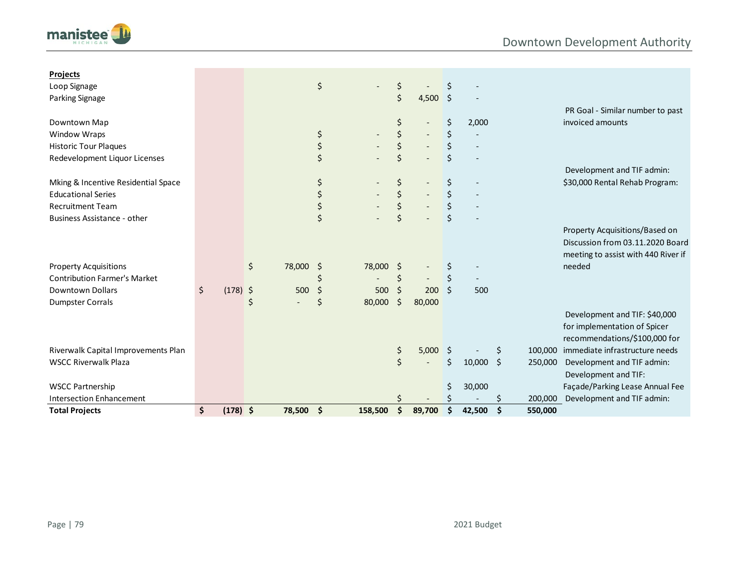

| <b>Projects</b>                     |                  |                                |    |                          |                                |         |             |               |                                        |
|-------------------------------------|------------------|--------------------------------|----|--------------------------|--------------------------------|---------|-------------|---------------|----------------------------------------|
| Loop Signage                        |                  |                                | \$ |                          | \$                             |         |             |               |                                        |
| Parking Signage                     |                  |                                |    |                          | \$<br>$4,500$ \$               |         |             |               |                                        |
|                                     |                  |                                |    |                          |                                |         |             |               | PR Goal - Similar number to past       |
| Downtown Map                        |                  |                                |    |                          | \$                             | \$      | 2,000       |               | invoiced amounts                       |
| Window Wraps                        |                  |                                | \$ |                          | \$                             | \$      |             |               |                                        |
| <b>Historic Tour Plaques</b>        |                  |                                | \$ |                          | \$                             | \$      |             |               |                                        |
| Redevelopment Liquor Licenses       |                  |                                | \$ |                          | \$                             |         |             |               |                                        |
|                                     |                  |                                |    |                          |                                |         |             |               | Development and TIF admin:             |
| Mking & Incentive Residential Space |                  |                                | \$ |                          | \$                             | \$      |             |               | \$30,000 Rental Rehab Program:         |
| <b>Educational Series</b>           |                  |                                | \$ |                          | \$                             | \$      |             |               |                                        |
| <b>Recruitment Team</b>             |                  |                                | \$ |                          | \$                             |         |             |               |                                        |
| <b>Business Assistance - other</b>  |                  |                                | \$ |                          | \$                             | $\zeta$ |             |               |                                        |
|                                     |                  |                                |    |                          |                                |         |             |               | Property Acquisitions/Based on         |
|                                     |                  |                                |    |                          |                                |         |             |               | Discussion from 03.11.2020 Board       |
|                                     |                  |                                |    |                          |                                |         |             |               | meeting to assist with 440 River if    |
| <b>Property Acquisitions</b>        |                  | \$<br>78,000 \$                |    | 78,000                   | \$                             |         |             |               | needed                                 |
| <b>Contribution Farmer's Market</b> |                  |                                |    | $\overline{\phantom{a}}$ | \$<br>$\overline{\phantom{a}}$ | \$      |             |               |                                        |
| Downtown Dollars                    | \$<br>$(178)$ \$ | 500                            | \$ | 500                      | \$<br>200                      | Ŝ.      | 500         |               |                                        |
| <b>Dumpster Corrals</b>             |                  | \$<br>$\overline{\phantom{0}}$ | Ś  | 80,000                   | \$<br>80,000                   |         |             |               |                                        |
|                                     |                  |                                |    |                          |                                |         |             |               | Development and TIF: \$40,000          |
|                                     |                  |                                |    |                          |                                |         |             |               | for implementation of Spicer           |
|                                     |                  |                                |    |                          |                                |         |             |               | recommendations/\$100,000 for          |
| Riverwalk Capital Improvements Plan |                  |                                |    |                          | \$<br>$5,000$ \$               |         |             | \$.           | 100,000 immediate infrastructure needs |
| <b>WSCC Riverwalk Plaza</b>         |                  |                                |    |                          | \$                             | Ś.      | $10,000$ \$ | 250,000       | Development and TIF admin:             |
|                                     |                  |                                |    |                          |                                |         |             |               | Development and TIF:                   |
| <b>WSCC Partnership</b>             |                  |                                |    |                          |                                |         | 30,000      |               | Façade/Parking Lease Annual Fee        |
| <b>Intersection Enhancement</b>     |                  |                                |    |                          |                                |         |             | 200,000       | Development and TIF admin:             |
| <b>Total Projects</b>               | \$<br>$(178)$ \$ | 78,500                         | \$ | 158,500                  | \$<br>89,700                   | \$      | 42,500      | \$<br>550,000 |                                        |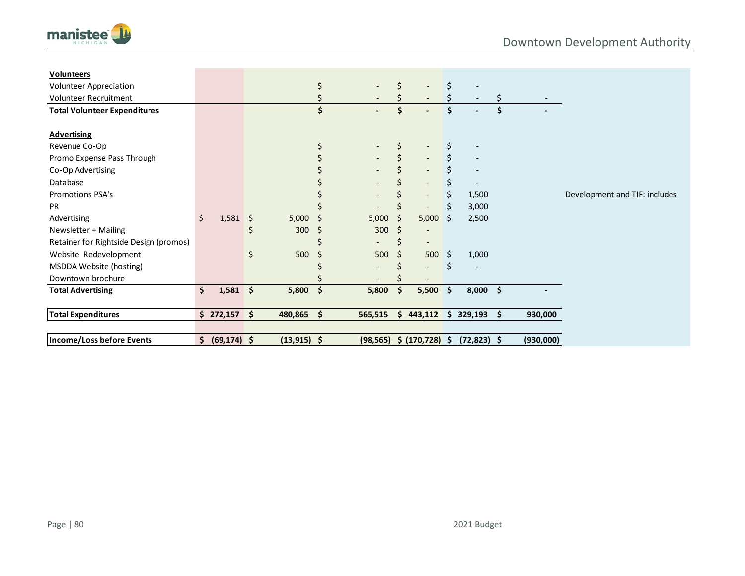

| <b>Volunteers</b>                      |                      |    |                |     |                          |     |                             |     |                          |    |           |                               |
|----------------------------------------|----------------------|----|----------------|-----|--------------------------|-----|-----------------------------|-----|--------------------------|----|-----------|-------------------------------|
| <b>Volunteer Appreciation</b>          |                      |    |                | \$  |                          | Ś   |                             | \$  |                          |    |           |                               |
| <b>Volunteer Recruitment</b>           |                      |    |                |     |                          |     | $\overline{\phantom{a}}$    |     |                          |    |           |                               |
| <b>Total Volunteer Expenditures</b>    |                      |    |                |     |                          | Ś   |                             | Ś   |                          |    |           |                               |
| <b>Advertising</b>                     |                      |    |                |     |                          |     |                             |     |                          |    |           |                               |
| Revenue Co-Op                          |                      |    |                |     |                          | Ś   |                             | \$  |                          |    |           |                               |
| Promo Expense Pass Through             |                      |    |                |     |                          | \$  | $\overline{\phantom{a}}$    |     | $\overline{\phantom{a}}$ |    |           |                               |
| Co-Op Advertising                      |                      |    |                |     |                          |     | $\overline{\phantom{a}}$    |     |                          |    |           |                               |
| Database                               |                      |    |                |     |                          |     | $\overline{\phantom{a}}$    |     |                          |    |           |                               |
| <b>Promotions PSA's</b>                |                      |    |                |     |                          |     | $\overline{\phantom{a}}$    | \$  | 1,500                    |    |           | Development and TIF: includes |
| <b>PR</b>                              |                      |    |                |     |                          |     | $\overline{\phantom{0}}$    |     | 3,000                    |    |           |                               |
| Advertising                            | \$<br>1,581          | \$ | 5,000          | \$  | 5,000                    | Ŝ   | 5,000                       | Ŝ   | 2,500                    |    |           |                               |
| Newsletter + Mailing                   |                      | \$ | 300            | \$, | 300                      | -S  |                             |     |                          |    |           |                               |
| Retainer for Rightside Design (promos) |                      |    |                |     | $\overline{\phantom{a}}$ | \$  |                             |     |                          |    |           |                               |
| Website Redevelopment                  |                      | \$ | 500            | Ŝ.  | 500                      | Ŝ.  | 500                         | Ŝ.  | 1,000                    |    |           |                               |
| MSDDA Website (hosting)                |                      |    |                |     |                          |     | $\overline{\phantom{0}}$    | \$  |                          |    |           |                               |
| Downtown brochure                      |                      |    |                |     |                          |     |                             |     |                          |    |           |                               |
| <b>Total Advertising</b>               | \$<br>$1,581$ \$     |    | 5,800          | \$  | 5,800                    | -\$ | 5,500                       | \$  | $8,000$ \$               |    |           |                               |
| <b>Total Expenditures</b>              | \$272,157            | Ŝ. | 480,865        | \$  | 565,515                  |     | \$443,112                   | \$. | 329,193                  | Ŝ. | 930,000   |                               |
|                                        |                      |    |                |     |                          |     |                             |     |                          |    |           |                               |
| Income/Loss before Events              | \$<br>$(69, 174)$ \$ |    | $(13, 915)$ \$ |     |                          |     | $(98, 565)$ \$ $(170, 728)$ | -\$ | $(72,823)$ \$            |    | (930,000) |                               |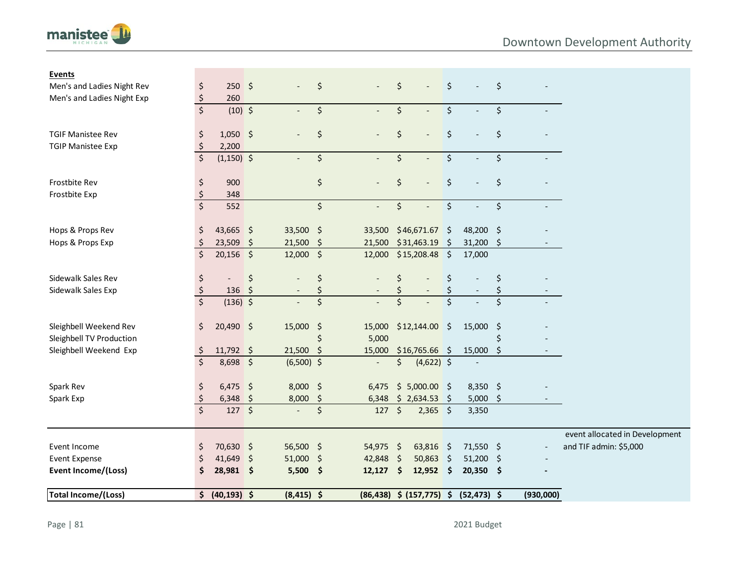

| <b>Events</b>              |                                |                    |            |                          |             |                          |         |                                |                     |                |                    |                          |                                |
|----------------------------|--------------------------------|--------------------|------------|--------------------------|-------------|--------------------------|---------|--------------------------------|---------------------|----------------|--------------------|--------------------------|--------------------------------|
| Men's and Ladies Night Rev | \$                             | $250 \div$         |            |                          | \$          |                          | \$      |                                | \$                  |                | \$                 |                          |                                |
| Men's and Ladies Night Exp | $\zeta$                        | 260                |            |                          |             |                          |         |                                |                     |                |                    |                          |                                |
|                            | $\overline{\xi}$               | $(10)$ \$          |            |                          | \$          |                          | $\zeta$ |                                | $\zeta$             |                | \$                 |                          |                                |
| <b>TGIF Manistee Rev</b>   | \$                             | $1,050$ \$         |            |                          | \$          |                          | \$      |                                | \$                  |                | \$                 |                          |                                |
| <b>TGIP Manistee Exp</b>   | $\zeta$                        | 2,200              |            |                          |             |                          |         |                                |                     |                |                    |                          |                                |
|                            | $\overline{\xi}$               | $(1,150)$ \$       |            |                          | \$          | $\overline{\phantom{a}}$ | \$      |                                | \$                  |                | \$                 |                          |                                |
| Frostbite Rev              | \$                             | 900                |            |                          | \$          |                          | \$      |                                | \$                  |                | \$                 |                          |                                |
| Frostbite Exp              | $\boldsymbol{\zeta}$           | 348                |            |                          |             |                          |         |                                |                     |                |                    |                          |                                |
|                            | $\overline{\xi}$               | 552                |            |                          | \$          |                          | \$      |                                | \$                  |                | \$                 | $\overline{\phantom{0}}$ |                                |
| Hops & Props Rev           | \$                             | 43,665 \$          |            | 33,500 \$                |             |                          |         | 33,500 \$46,671.67 \$          |                     | 48,200 \$      |                    |                          |                                |
| Hops & Props Exp           | \$                             | 23,509             | \$         | 21,500                   | \$          | 21,500                   |         | \$31,463.19                    | \$                  | 31,200         | \$                 |                          |                                |
|                            | $\zeta$                        | $20,156$ \$        |            | $12,000$ \$              |             | 12,000                   |         | \$15,208.48                    | $\zeta$             | 17,000         |                    |                          |                                |
| Sidewalk Sales Rev         | \$                             |                    | \$         |                          | \$          |                          | \$      |                                | \$                  |                | \$                 |                          |                                |
| Sidewalk Sales Exp         | $\boldsymbol{\dot{\varsigma}}$ | $136 \;$ \$        |            |                          | \$          |                          |         |                                |                     |                | \$                 |                          |                                |
|                            | $\overline{\xi}$               | $(136)$ \$         |            |                          | \$          |                          | $\zeta$ |                                | \$                  |                | \$                 |                          |                                |
| Sleighbell Weekend Rev     | \$                             | $20,490$ \$        |            | 15,000 \$                |             |                          |         | 15,000 \$12,144.00             | \$                  | 15,000         | - \$               |                          |                                |
| Sleighbell TV Production   |                                |                    |            |                          | \$          | 5,000                    |         |                                |                     |                | \$                 |                          |                                |
| Sleighbell Weekend Exp     | -\$                            | $11,792$ \$        |            | 21,500                   | $\varsigma$ | 15,000                   |         | $$16,765.66$ \$                |                     | 15,000         | \$                 |                          |                                |
|                            | $\zeta$                        | 8,698 \$           |            | $(6,500)$ \$             |             | $\overline{\phantom{a}}$ | \$      | $(4,622)$ \$                   |                     |                |                    |                          |                                |
| Spark Rev                  | \$                             | $6,475$ \$         |            | 8,000 \$                 |             | 6,475                    |         | $$5,000.00$ \$                 |                     | $8,350$ \$     |                    |                          |                                |
| Spark Exp                  | $\boldsymbol{\dot{z}}$         | 6,348              | $\sqrt{5}$ | 8,000                    | \$          | 6,348                    |         | \$2,634.53                     | \$                  | 5,000          | $\ddot{\varsigma}$ |                          |                                |
|                            | $\overline{\mathsf{S}}$        | $127 \frac{12}{5}$ |            | $\overline{\phantom{a}}$ | $\zeta$     | 127 \$                   |         | $2,365$ \$                     |                     | 3,350          |                    |                          |                                |
|                            |                                |                    |            |                          |             |                          |         |                                |                     |                |                    |                          | event allocated in Development |
| Event Income               | \$                             | 70,630 \$          |            | 56,500 \$                |             | $54,975$ \$              |         | 63,816                         | $\sqrt{5}$          | 71,550 \$      |                    |                          | and TIF admin: \$5,000         |
| <b>Event Expense</b>       | Ś                              | $41,649$ \$        |            | 51,000 \$                |             | 42,848                   | \$      | 50,863                         | Ŝ.                  | 51,200         | \$                 |                          |                                |
| Event Income/(Loss)        | \$                             | 28,981 \$          |            | $5,500$ \$               |             | 12,127                   | \$      | 12,952                         | $\ddot{\mathsf{s}}$ | $20,350$ \$    |                    |                          |                                |
| Total Income/(Loss)        |                                | \$ (40, 193) \$    |            | $(8, 415)$ \$            |             |                          |         | $(86, 438)$ \$ $(157, 775)$ \$ |                     | $(52, 473)$ \$ |                    | (930,000)                |                                |